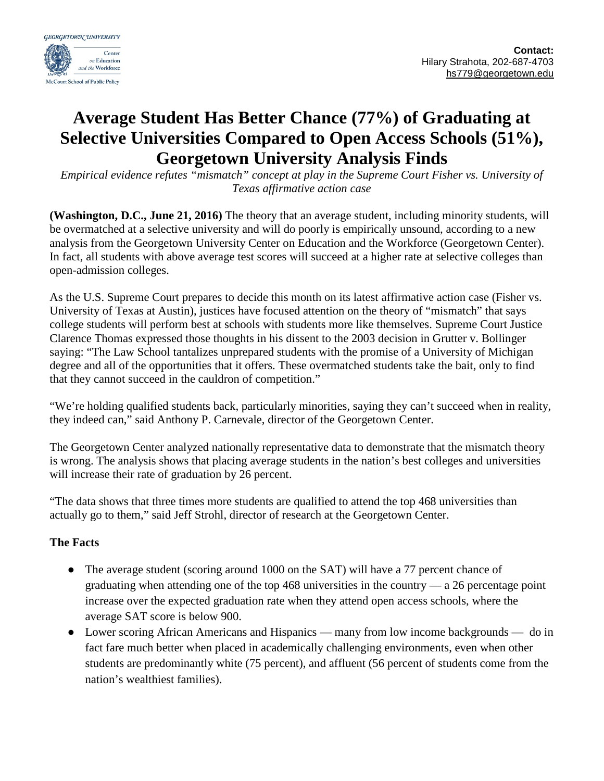

## **Average Student Has Better Chance (77%) of Graduating at Selective Universities Compared to Open Access Schools (51%), Georgetown University Analysis Finds**

*Empirical evidence refutes "mismatch" concept at play in the Supreme Court Fisher vs. University of Texas affirmative action case*

**(Washington, D.C., June 21, 2016)** The theory that an average student, including minority students, will be overmatched at a selective university and will do poorly is empirically unsound, according to a new analysis from the Georgetown University Center on Education and the Workforce (Georgetown Center). In fact, all students with above average test scores will succeed at a higher rate at selective colleges than open-admission colleges.

As the U.S. Supreme Court prepares to decide this month on its latest affirmative action case (Fisher vs. University of Texas at Austin), justices have focused attention on the theory of "mismatch" that says college students will perform best at schools with students more like themselves. Supreme Court Justice Clarence Thomas expressed those thoughts in his dissent to the 2003 decision in Grutter v. Bollinger saying: "The Law School tantalizes unprepared students with the promise of a University of Michigan degree and all of the opportunities that it offers. These overmatched students take the bait, only to find that they cannot succeed in the cauldron of competition."

"We're holding qualified students back, particularly minorities, saying they can't succeed when in reality, they indeed can," said Anthony P. Carnevale, director of the Georgetown Center.

The Georgetown Center analyzed nationally representative data to demonstrate that the mismatch theory is wrong. The analysis shows that placing average students in the nation's best colleges and universities will increase their rate of graduation by 26 percent.

"The data shows that three times more students are qualified to attend the top 468 universities than actually go to them," said Jeff Strohl, director of research at the Georgetown Center.

## **The Facts**

- The average student (scoring around 1000 on the SAT) will have a 77 percent chance of graduating when attending one of the top 468 universities in the country — a 26 percentage point increase over the expected graduation rate when they attend open access schools, where the average SAT score is below 900.
- Lower scoring African Americans and Hispanics many from low income backgrounds do in fact fare much better when placed in academically challenging environments, even when other students are predominantly white (75 percent), and affluent (56 percent of students come from the nation's wealthiest families).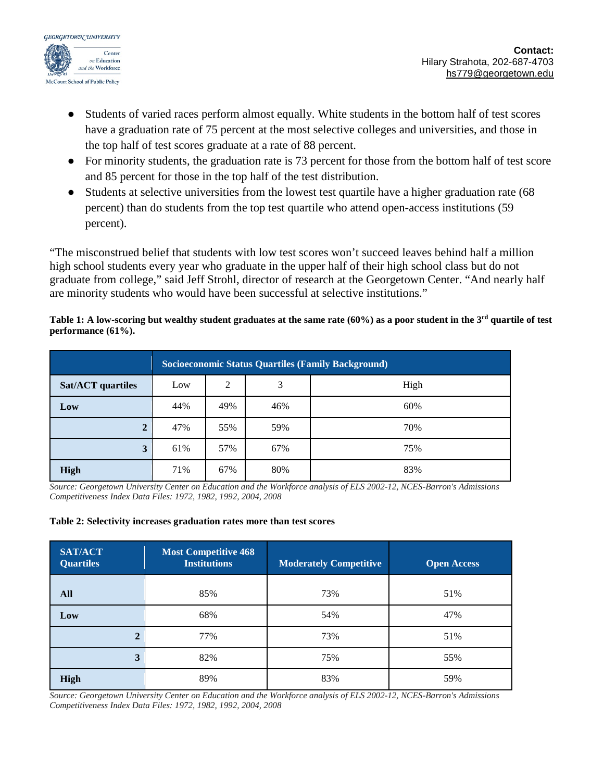

- Students of varied races perform almost equally. White students in the bottom half of test scores have a graduation rate of 75 percent at the most selective colleges and universities, and those in the top half of test scores graduate at a rate of 88 percent.
- For minority students, the graduation rate is 73 percent for those from the bottom half of test score and 85 percent for those in the top half of the test distribution.
- Students at selective universities from the lowest test quartile have a higher graduation rate (68 percent) than do students from the top test quartile who attend open-access institutions (59 percent).

"The misconstrued belief that students with low test scores won't succeed leaves behind half a million high school students every year who graduate in the upper half of their high school class but do not graduate from college," said Jeff Strohl, director of research at the Georgetown Center. "And nearly half are minority students who would have been successful at selective institutions."

## **Table 1: A low-scoring but wealthy student graduates at the same rate (60%) as a poor student in the 3rd quartile of test performance (61%).**

|                          | <b>Socioeconomic Status Quartiles (Family Background)</b> |     |     |      |  |  |  |
|--------------------------|-----------------------------------------------------------|-----|-----|------|--|--|--|
| <b>Sat/ACT</b> quartiles | Low                                                       | 2   | 3   | High |  |  |  |
| Low                      | 44%                                                       | 49% | 46% | 60%  |  |  |  |
| ∍<br>∠                   | 47%                                                       | 55% | 59% | 70%  |  |  |  |
| 3                        | 61%                                                       | 57% | 67% | 75%  |  |  |  |
| <b>High</b>              | 71%                                                       | 67% | 80% | 83%  |  |  |  |

*Source: Georgetown University Center on Education and the Workforce analysis of ELS 2002-12, NCES-Barron's Admissions Competitiveness Index Data Files: 1972, 1982, 1992, 2004, 2008*

## **Table 2: Selectivity increases graduation rates more than test scores**

| <b>SAT/ACT</b><br><b>Quartiles</b> | Most Competitive 468<br><b>Institutions</b> | <b>Moderately Competitive</b> | <b>Open Access</b> |  |
|------------------------------------|---------------------------------------------|-------------------------------|--------------------|--|
| All                                | 85%                                         | 73%                           | 51%                |  |
| Low                                | 68%                                         | 54%                           | 47%                |  |
| $\mathbf 2$                        | 77%                                         | 73%                           | 51%                |  |
| 3                                  | 82%                                         | 75%                           | 55%                |  |
| <b>High</b>                        | 89%                                         | 83%                           | 59%                |  |

*Source: Georgetown University Center on Education and the Workforce analysis of ELS 2002-12, NCES-Barron's Admissions Competitiveness Index Data Files: 1972, 1982, 1992, 2004, 2008*